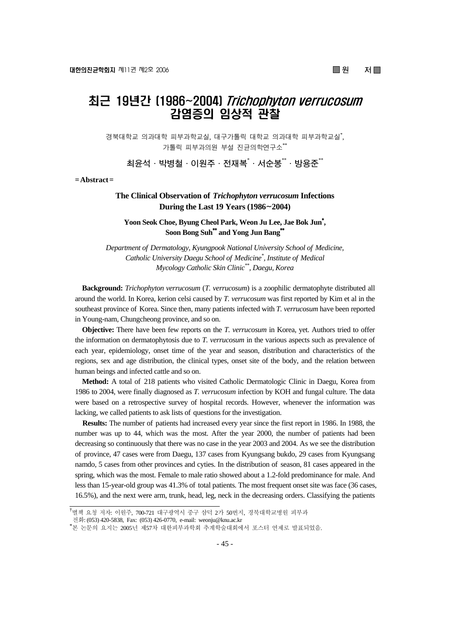# 최근 19년간 [1986~2004] Trichophyton verrucosum 감염증의 임상적 관찰

경북대학교 의과대학 피부과학교실, 대구가톨릭 대학교 의과대학 피부과학교실\* , 가톨릭 피부과의원 부설 진균의학연구소\*\*

**최윤석·박병철·이원주·전재복**\* **·서순봉**\*\***·방용준**\*\*

**= Abstract =** 

# **The Clinical Observation of** *Trichophyton verrucosum* **Infections During the Last 19 Years (1986**~**2004)**

**Yoon Seok Choe, Byung Cheol Park, Weon Ju Lee, Jae Bok Jun**\* **, Soon Bong Suh**\*\* **and Yong Jun Bang**\*\*

*Department of Dermatology, Kyungpook National University School of Medicine, Catholic University Daegu School of Medicine\* , Institute of Medical Mycology Catholic Skin Clinic\*\*, Daegu, Korea*

**Background:** *Trichophyton verrucosum* (*T. verrucosum*) is a zoophilic dermatophyte distributed all around the world. In Korea, kerion celsi caused by *T. verrucosum* was first reported by Kim et al in the southeast province of Korea. Since then, many patients infected with *T. verrucosum* have been reported in Young-nam, Chungcheong province, and so on.

**Objective:** There have been few reports on the *T. verrucosum* in Korea, yet. Authors tried to offer the information on dermatophytosis due to *T. verrucosum* in the various aspects such as prevalence of each year, epidemiology, onset time of the year and season, distribution and characteristics of the regions, sex and age distribution, the clinical types, onset site of the body, and the relation between human beings and infected cattle and so on.

**Method:** A total of 218 patients who visited Catholic Dermatologic Clinic in Daegu, Korea from 1986 to 2004, were finally diagnosed as *T. verrucosum* infection by KOH and fungal culture. The data were based on a retrospective survey of hospital records. However, whenever the information was lacking, we called patients to ask lists of questions for the investigation.

**Results:** The number of patients had increased every year since the first report in 1986. In 1988, the number was up to 44, which was the most. After the year 2000, the number of patients had been decreasing so continuously that there was no case in the year 2003 and 2004. As we see the distribution of province, 47 cases were from Daegu, 137 cases from Kyungsang bukdo, 29 cases from Kyungsang namdo, 5 cases from other provinces and cyties. In the distribution of season, 81 cases appeared in the spring, which was the most. Female to male ratio showed about a 1.2-fold predominance for male. And less than 15-year-old group was 41.3% of total patients. The most frequent onset site was face (36 cases, 16.5%), and the next were arm, trunk, head, leg, neck in the decreasing orders. Classifying the patients

<sup>&</sup>lt;sup>†</sup>별책 요청 저자: 이원주, 700-721 대구광역시 중구 삼덕 2가 50번지, 경북대학교병원 피부과

전화: (053) 420-5838, Fax: (053) 426-0770, e-mail: weonju@knu.ac.kr \*

본 논문의 요지는 2005년 제57차 대한피부과학회 추계학술대회에서 포스터 연제로 발표되었음.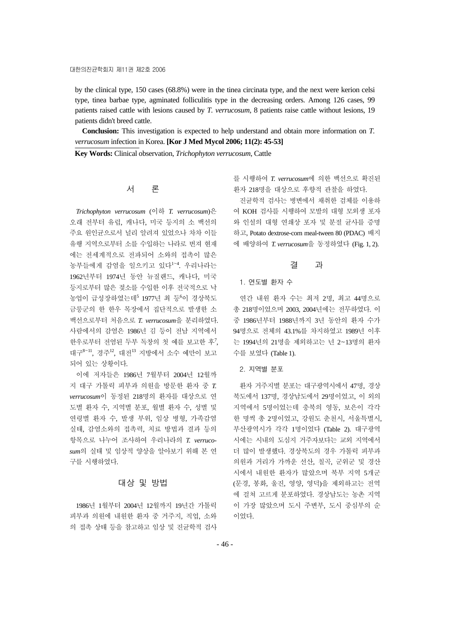by the clinical type, 150 cases (68.8%) were in the tinea circinata type, and the next were kerion celsi type, tinea barbae type, agminated folliculitis type in the decreasing orders. Among 126 cases, 99 patients raised cattle with lesions caused by *T. verrucosum*, 8 patients raise cattle without lesions, 19 patients didn't breed cattle.

**Conclusion:** This investigation is expected to help understand and obtain more information on *T. verrucosum* infection in Korea. **[Kor J Med Mycol 2006; 11(2): 45-53]**

**Key Words:** Clinical observation, *Trichophyton verrucosum*, Cattle

## 서 론

*Trichophyton verrucosum* (이하 *T. verrucosum*)은 오래 전부터 유럽, 캐나다, 미국 등지의 소 백선의 주요 원인균으로서 널리 알려져 있었으나 차차 이들 유행 지역으로부터 소를 수입하는 나라로 번져 현재 에는 전세계적으로 전파되어 소와의 접촉이 많은 농부들에게 감염을 일으키고 있다<sup>1</sup>~<sup>4</sup> . 우리나라는 1962년부터 1974년 동안 뉴질랜드, 캐나다, 미국 등지로부터 많은 젖소를 수입한 이후 전국적으로 낙 농업이 급성장하였는데<sup>5</sup> 1977년 최 등<sup>6</sup>이 경상북도 금릉군의 한 한우 목장에서 집단적으로 발생한 소 백선으로부터 처음으로 *T. verrucosum*을 분리하였다. 사람에서의 감염은 1986년 김 등이 전남 지역에서 한우로부터 전염된 두부 독창의 첫 예를 보고한 후<sup>7</sup>, 대구<sup>8</sup><sup>~</sup>11, 경주12, 대전<sup>13</sup> 지방에서 소수 예만이 보고 되어 있는 상황이다.

이에 저자들은 1986년 7월부터 2004년 12월까 지 대구 가톨릭 피부과 의원을 방문한 환자 중 *T. verrucosum*이 동정된 218명의 환자를 대상으로 연 도별 환자 수, 지역별 분포, 월별 환자 수, 성별 및 연령별 환자 수, 발생 부위, 임상 병형, 가족감염 실태, 감염소와의 접촉력, 치료 방법과 결과 등의 항목으로 나누어 조사하여 우리나라의 *T. verrucosum*의 실태 및 임상적 양상을 알아보기 위해 본 연 구를 시행하였다.

## 대상 및 방법

1986년 1월부터 2004년 12월까지 19년간 가톨릭 피부과 의원에 내원한 환자 중 거주지, 직업, 소와 의 접촉 상태 등을 참고하고 임상 및 진균학적 검사 를 시행하여 *T. verrucosum*에 의한 백선으로 확진된 환자 218명을 대상으로 후향적 관찰을 하였다.

진균학적 검사는 병변에서 채취한 검체를 이용하 여 KOH 검사를 시행하여 모발의 대형 모외생 포자 와 인설의 대형 연쇄상 포자 및 분절 균사를 증명 하고, Potato dextrose-corn meal-tween 80 (PDAC) 배지 에 배양하여 *T. verrucosum*을 동정하였다 (Fig. 1, 2).

#### 결 과

#### 1. 연도별 환자 수

연간 내원 환자 수는 최저 2명, 최고 44명으로 총 218명이었으며 2003, 2004년에는 전무하였다. 이 중 1986년부터 1988년까지 3년 동안의 환자 수가 94명으로 전체의 43.1%를 차지하였고 1989년 이후 는 1994년의 21명을 제외하고는 년 2~13명의 환자 수를 보였다 (Table 1).

#### 2. 지역별 분포

환자 거주지별 분포는 대구광역시에서 47명, 경상 북도에서 137명, 경상남도에서 29명이었고, 이 외의 지역에서 5명이었는데 충북의 영동, 보은이 각각 한 명씩 총 2명이었고, 강원도 춘천시, 서울특별시, 부산광역시가 각각 1명이었다 (Table 2). 대구광역 시에는 시내의 도심지 거주자보다는 교외 지역에서 더 많이 발생했다. 경상북도의 경우 가톨릭 피부과 의원과 거리가 가까운 선산, 칠곡, 군위군 및 경산 시에서 내원한 환자가 많았으며 북부 지역 5개군 (문경, 봉화, 울진, 영양, 영덕)을 제외하고는 전역 에 걸쳐 고르게 분포하였다. 경상남도는 농촌 지역 이 가장 많았으며 도시 주변부, 도시 중심부의 순 이었다.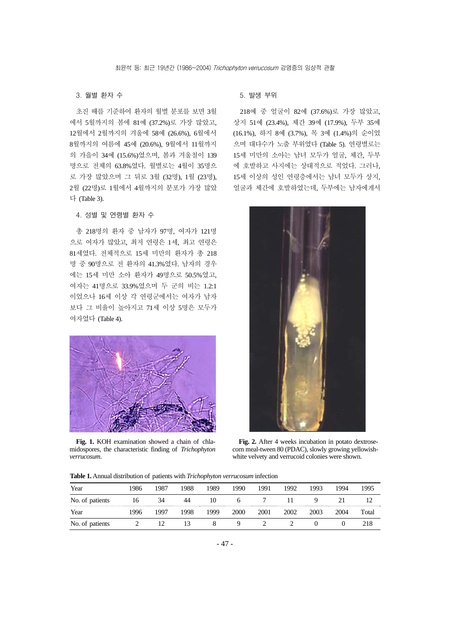#### 3. 월별 환자 수

초진 때를 기준하여 환자의 월별 분포를 보면 3월 에서 5월까지의 봄에 81예 (37.2%)로 가장 많았고, 12월에서 2월까지의 겨울에 58예 (26.6%), 6월에서 8월까지의 여름에 45예 (20.6%), 9월에서 11월까지 의 가을이 34예 (15.6%)였으며, 봄과 겨울철이 139 명으로 전체의 63.8%였다. 월별로는 4월이 35명으 로 가장 많았으며 그 뒤로 3월 (32명), 1월 (23명), 2월 (22명)로 1월에서 4월까지의 분포가 가장 많았 다 (Table 3).

#### 4. 성별 및 연령별 환자 수

총 218명의 환자 중 남자가 97명, 여자가 121명 으로 여자가 많았고, 최저 연령은 1세, 최고 연령은 81세였다. 전체적으로 15세 미만의 환자가 총 218 명 중 90명으로 전 환자의 41.3%였다. 남자의 경우 에는 15세 미만 소아 환자가 49명으로 50.5%였고, 여자는 41명으로 33.9%였으며 두 군의 비는 1.2:1 이었으나 16세 이상 각 연령군에서는 여자가 남자 보다 그 비율이 높아지고 71세 이상 5명은 모두가 여자였다 (Table 4).



**Fig. 1.** KOH examination showed a chain of chlamidospores, the characteristic finding of *Trichophyton verrucosum*.

## 5. 발생 부위

218예 중 얼굴이 82예 (37.6%)로 가장 많았고, 상지 51예 (23.4%), 체간 39예 (17.9%), 두부 35예 (16.1%), 하지 8예 (3.7%), 목 3예 (1.4%)의 순이었 으며 대다수가 노출 부위였다 (Table 5). 연령별로는 15세 미만의 소아는 남녀 모두가 얼굴, 체간, 두부 에 호발하고 사지에는 상대적으로 적었다. 그러나, 15세 이상의 성인 연령층에서는 남녀 모두가 상지, 얼굴과 체간에 호발하였는데, 두부에는 남자에게서



**Fig. 2.** After 4 weeks incubation in potato dextrosecorn meal-tween 80 (PDAC), slowly growing yellowishwhite velvety and verrucoid colonies were shown.

| Year            | 986 | 1987 | 1988 | 1989 | 1990         | 1991 | 1992 | 1993 | 1994 | 1995  |
|-----------------|-----|------|------|------|--------------|------|------|------|------|-------|
| No. of patients | 16  | 34   | 44   | 10   | <sub>0</sub> |      |      | Q    | 21   |       |
| Year            | 996 | 1997 | 1998 | 1999 | 2000         | 2001 | 2002 | 2003 | 2004 | Total |
| No. of patients |     |      | ١í   |      |              |      |      |      |      | 218   |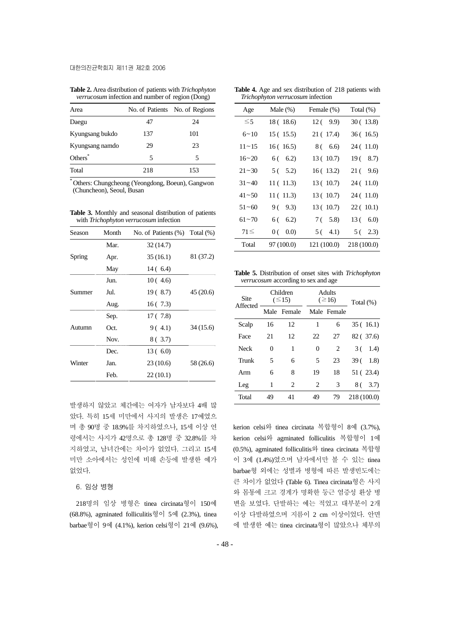**Table 2.** Area distribution of patients with *Trichophyton verrucosum* infection and number of region (Dong)

| Area                |     | No. of Patients No. of Regions |
|---------------------|-----|--------------------------------|
| Daegu               | 47  | 24                             |
| Kyungsang bukdo     | 137 | 101                            |
| Kyungsang namdo     | 29  | 23                             |
| Others <sup>*</sup> | 5   | 5                              |
| Total               | 218 | 153                            |

\* Others: Chungcheong (Yeongdong, Boeun), Gangwon (Chuncheon), Seoul, Busan

**Table 3.** Monthly and seasonal distribution of patients with *Trichophyton verrucosum* infection

| Season | Month | No. of Patients $(\%)$ Total $(\%)$ |           |
|--------|-------|-------------------------------------|-----------|
|        | Mar.  | 32 (14.7)                           |           |
| Spring | Apr.  | 35(16.1)                            | 81 (37.2) |
|        | May   | 14 ( 6.4)                           |           |
|        | Jun.  | 10(4.6)                             |           |
| Summer | Jul.  | 19 (8.7)                            | 45 (20.6) |
|        | Aug.  | 16(7.3)                             |           |
|        | Sep.  | 17 ( 7.8)                           |           |
| Autumn | Oct.  | 9(4.1)                              | 34 (15.6) |
|        | Nov.  | 8 ( 3.7)                            |           |
|        | Dec.  | 13(6.0)                             |           |
| Winter | Jan.  | 23(10.6)                            | 58 (26.6) |
|        | Feb.  | 22(10.1)                            |           |

발생하지 않았고 체간에는 여자가 남자보다 4배 많 았다. 특히 15세 미만에서 사지의 발생은 17예였으 며 총 90명 중 18.9%를 차지하였으나, 15세 이상 연 령에서는 사지가 42명으로 총 128명 중 32.8%를 차 지하였고, 남녀간에는 차이가 없었다. 그리고 15세 미만 소아에서는 성인에 비해 손등에 발생한 예가 없었다.

6. 임상 병형

218명의 임상 병형은 tinea circinata형이 150예 (68.8%), agminated folliculitis형이 5예 (2.3%), tinea barbae형이 9예 (4.1%), kerion celsi형이 21예 (9.6%),

|  | <b>Table 4.</b> Age and sex distribution of 218 patients with |  |  |
|--|---------------------------------------------------------------|--|--|
|  | Trichophyton verrucosum infection                             |  |  |

| Age       | Male $(\%)$ | Female (%)  | Total $(\%)$ |
|-----------|-------------|-------------|--------------|
| $\leq 5$  | 18 (18.6)   | 12(9.9)     | 30 (13.8)    |
| $6 - 10$  | 15(15.5)    | 21 (17.4)   | 36(16.5)     |
| $11 - 15$ | 16(16.5)    | 8 ( 6.6)    | 24 (11.0)    |
| $16 - 20$ | $6(-6.2)$   | 13(10.7)    | 19(8.7)      |
| $21 - 30$ | 5(5.2)      | 16(13.2)    | 21(9.6)      |
| $31 - 40$ | 11(11.3)    | 13(10.7)    | 24 (11.0)    |
| $41 - 50$ | 11 (11.3)   | 13(10.7)    | 24 (11.0)    |
| $51 - 60$ | 9 ( 9.3)    | 13(10.7)    | 22(10.1)     |
| $61 - 70$ | $6(-6.2)$   | 7 ( 5.8)    | 13(6.0)      |
| $71 \leq$ | 0(0.0)      | $5(-4.1)$   | 5(2.3)       |
| Total     | 97 (100.0)  | 121 (100.0) | 218 (100.0)  |

**Table 5.** Distribution of onset sites with *Trichophyton verrucosum* according to sex and age

| Site        |    | Children<br>$(\leq15)$ |          | <b>Adults</b><br>$(\geq 16)$ | Total $(\%)$ |  |
|-------------|----|------------------------|----------|------------------------------|--------------|--|
| Affected    |    | Male Female            |          | Male Female                  |              |  |
| Scalp       | 16 | 12                     | 1        | 6                            | 35(16.1)     |  |
| Face        | 21 | 12                     | 22       | 27                           | 82 (37.6)    |  |
| <b>Neck</b> | 0  | 1                      | $\theta$ | 2                            | 1.4)<br>3 (  |  |
| Trunk       | 5  | 6                      | 5        | 23                           | 39 (<br>1.8  |  |
| Arm         | 6  | 8                      | 19       | 18                           | 51 (23.4)    |  |
| Leg         | 1  | 2                      | 2        | 3                            | 8 ( 3.7)     |  |
| Total       | 49 | 41                     | 49       | 79                           | 218 (100.0)  |  |

kerion celsi와 tinea circinata 복합형이 8예 (3.7%), kerion celsi와 agminated folliculitis 복합형이 1예 (0.5%), agminated folliculitis와 tinea circinata 복합형 이 3예 (1.4%)였으며 남자에서만 볼 수 있는 tinea barbae형 외에는 성별과 병형에 따른 발생빈도에는 큰 차이가 없었다 (Table 6). Tinea circinata형은 사지 와 몸통에 크고 경계가 명확한 둥근 염증성 환상 병 변을 보였다. 단발하는 예는 적었고 대부분이 2개 이상 다발하였으며 지름이 2 cm 이상이었다. 안면 에 발생한 예는 tinea circinata형이 많았으나 체부의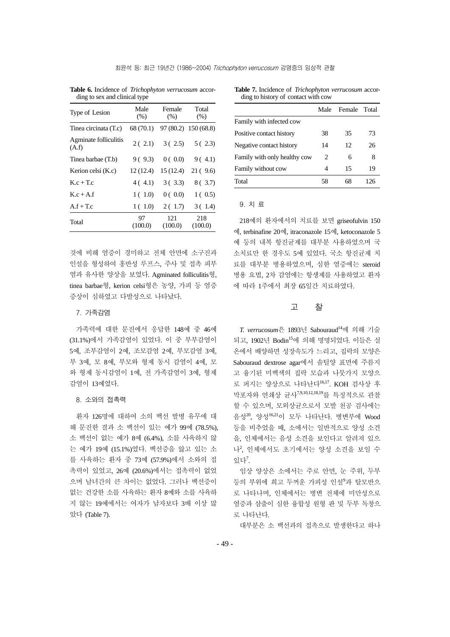| Male<br>$(\%)$ | Female<br>(% ) | Total<br>(% )           |  |
|----------------|----------------|-------------------------|--|
| 68 (70.1)      |                | 97 (80.2) 150 (68.8)    |  |
|                |                | 5(2.3)                  |  |
| 9(9.3)         | 0(0.0)         | 9(4.1)                  |  |
| 12(12.4)       | 15(12.4)       | 21(9.6)                 |  |
|                | 3(3.3)         | 8(3.7)                  |  |
| 1(1.0)         | 0(0.0)         | 1(0.5)                  |  |
| 1(1.0)         | 2(1.7)         | 3(1.4)                  |  |
| 97<br>(100.0)  | 121<br>(100.0) | 218<br>(100.0)          |  |
|                |                | 2(2.1) 3(2.5)<br>4(4.1) |  |

**Table 6.** Incidence of *Trichophyton verrucosum* according to sex and clinical type

것에 비해 염증이 경미하고 전체 안면에 소구진과 인설을 형성하여 홍반성 루프스, 주사 및 접촉 피부 염과 유사한 양상을 보였다. Agminated folliculitis형, tinea barbae형, kerion celsi형은 농양, 가피 등 염증 증상이 심하였고 다발성으로 나타났다.

#### 7. 가족감염

가족력에 대한 문진에서 응답한 148예 중 46예 (31.1%)에서 가족감염이 있었다. 이 중 부부감염이 5예, 조부감염이 2예, 조모감염 2예, 부모감염 3예, 부 3예, 모 8예, 부모와 형제 동시 감염이 4예, 모 와 형제 동시감염이 1예, 전 가족감염이 3예, 형제 감염이 13예였다.

#### 8. 소와의 접촉력

환자 126명에 대하여 소의 백선 발병 유무에 대 해 문진한 결과 소 백선이 있는 예가 99예 (78.5%), 소 백선이 없는 예가 8예 (6.4%), 소를 사육하지 않 는 예가 19예 (15.1%)였다. 백선증을 앓고 있는 소 를 사육하는 환자 중 73예 (57.9%)에서 소와의 접 촉력이 있었고, 26예 (20.6%)에서는 접촉력이 없었 으며 남녀간의 큰 차이는 없었다. 그러나 백선증이 없는 건강한 소를 사육하는 환자 8예와 소를 사육하 지 않는 19예에서는 여자가 남자보다 3배 이상 많 았다 (Table 7).

**Table 7.** Incidence of *Trichophyton verrucosum* according to history of contact with cow

|                              | Male | Female Total |     |
|------------------------------|------|--------------|-----|
| Family with infected cow     |      |              |     |
| Positive contact history     | 38   | 35           | 73  |
| Negative contact history     | 14   | 12           | 26  |
| Family with only healthy cow | 2    | 6            | 8   |
| Family without cow           | 4    | 15           | 19  |
| Total                        | 58   |              | 126 |

## 9. 치 료

218예의 환자에서의 치료를 보면 griseofulvin 150 예, terbinafine 20예, itraconazole 15예, ketoconazole 5 예 등의 내복 항진균제를 대부분 사용하였으며 국 소치료만 한 경우도 5예 있었다. 국소 항진균제 치 료를 대부분 병용하였으며, 심한 염증에는 steroid 병용 요법, 2차 감염에는 항생제를 사용하였고 환자 에 따라 1주에서 최장 65일간 치료하였다.

## 고 찰

*T. verrucosum*은 1893년 Sabouraud14에 의해 기술 되고, 1902년 Bodin15에 의해 명명되었다. 이들은 실 온에서 배양하면 성장속도가 느리고, 집락의 모양은 Sabouraud dextrose agar에서 솜털양 표면에 주름지 고 융기된 미백색의 집락 모습과 나뭇가지 모양으 로 퍼지는 양상으로 나타난다<sup>16,17</sup>. KOH 검사상 후 막포자와 연쇄상 균사7,9,10,12,18,19를 특징적으로 관찰 할 수 있으며, 모외상균으로서 모발 천공 검사에는 음성20, 양성16,21이 모두 나타난다. 병변부에 Wood 등을 비추었을 때, 소에서는 일반적으로 양성 소견 을, 인체에서는 음성 소견을 보인다고 알려져 있으 나<sup>2</sup> , 인체에서도 초기에서는 양성 소견을 보일 수 있다 $7.$ 

임상 양상은 소에서는 주로 안면, 눈 주위, 두부 등의 부위에 희고 두꺼운 가피성 인설'과 탈모반으 로 나타나며, 인체에서는 병변 전체에 미만성으로 염증과 삼출이 심한 융합성 원형 판 및 두부 독창으 로 나타난다.

대부분은 소 백선과의 접촉으로 발생한다고 하나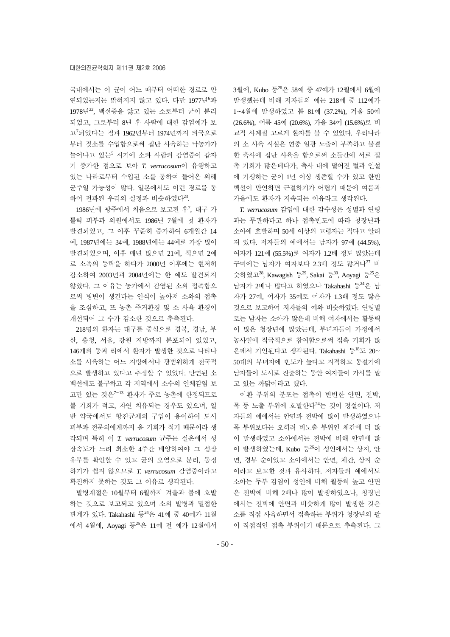국내에서는 이 균이 어느 때부터 어떠한 경로로 만 연되었는지는 밝혀지지 않고 있다. 다만 1977년<sup>6</sup>과  $1978$ 년 $^{22}$ , 백선증을 앓고 있는 소로부터 균이 분리 되었고, 그로부터 8년 후 사람에 대한 감염예가 보 고<sup>7</sup> 되었다는 점과 1962년부터 1974년까지 외국으로 부터 젖소를 수입함으로써 집단 사육하는 낙농가가 늘어나고 있는<sup>5</sup> 시기에 소와 사람의 감염증이 갑자 기 증가한 점으로 보아 *T. verrucosum*이 유행하고 있는 나라로부터 수입된 소를 통하여 들어온 외래 균주일 가능성이 많다. 일본에서도 이런 경로를 통 하여 전파된 우리의 실정과 비슷하였다<sup>23</sup>.

1986년에 광주에서 처음으로 보고된 후<sup>7</sup>, 대구 가 톨릭 피부과 의원에서도 1986년 7월에 첫 환자가 발견되었고, 그 이후 꾸준히 증가하여 6개월간 14 예, 1987년에는 34예, 1988년에는 44예로 가장 많이 발견되었으며, 이후 매년 많으면 21예, 적으면 2예 로 소폭의 등락을 하다가 2000년 이후에는 현저히 감소하여 2003년과 2004년에는 한 예도 발견되지 않았다. 그 이유는 농가에서 감염된 소와 접촉함으 로써 병변이 생긴다는 인식이 높아져 소와의 접촉 을 조심하고, 또 농촌 주거환경 및 소 사육 환경이 개선되어 그 수가 감소한 것으로 추측된다.

218명의 환자는 대구를 중심으로 경북, 경남, 부 산, 충청, 서울, 강원 지방까지 분포되어 있었고, 146개의 동과 리에서 환자가 발생한 것으로 나타나 소를 사육하는 어느 지방에서나 광범위하게 전국적 으로 발생하고 있다고 추정할 수 있었다. 만연된 소 백선에도 불구하고 각 지역에서 소수의 인체감염 보 고만 있는 것은<sup>7</sup>~<sup>13</sup> 환자가 주로 농촌에 한정되므로 볼 기회가 적고, 자연 치유되는 경우도 있으며, 일 반 약국에서도 항진균제의 구입이 용이하여 도시 피부과 전문의에게까지 올 기회가 적기 때문이라 생 각되며 특히 이 *T. verrucosum* 균주는 실온에서 성 장속도가 느려 최소한 4주간 배양하여야 그 성장 유무를 확인할 수 있고 균의 오염으로 분리, 동정 하기가 쉽지 않으므로 *T. verrucosum* 감염증이라고 확진하지 못하는 것도 그 이유로 생각된다.

발병계절은 10월부터 6월까지 겨울과 봄에 호발 하는 것으로 보고되고 있으며 소의 발병과 밀접한 관계가 있다. Takahashi 등<sup>24</sup>은 41예 중 40예가 11월 에서 4월에, Aoyagi 등25은 11예 전 예가 12월에서

3월에, Kubo 등<sup>26</sup>은 58예 중 47예가 12월에서 6월에 발생했는데 비해 저자들의 예는 218예 중 112예가 1~4월에 발생하였고 봄 81예 (37.2%), 겨울 50예 (26.6%), 여름 45예 (20.6%), 가을 34예 (15.6%)로 비 교적 사계절 고르게 환자를 볼 수 있었다. 우리나라 의 소 사육 시설은 연중 일광 노출이 부족하고 불결 한 축사에 집단 사육을 함으로써 소들간에 서로 접 촉 기회가 많은데다가, 축사 내에 떨어진 털과 인설 에 기생하는 균이 1년 이상 생존할 수가 있고 한번 백선이 만연하면 근절하기가 어렵기 때문에 여름과 가을에도 환자가 지속되는 이유라고 생각된다.

*T. verrucosum* 감염에 대한 감수성은 성별과 연령 과는 무관하다고 하나 접촉빈도에 따라 청장년과 소아에 호발하며 50세 이상의 고령자는 적다고 알려 져 있다. 저자들의 예에서는 남자가 97예 (44.5%), 여자가 121예 (55.5%)로 여자가 1.2배 정도 많았는데 구미에는 남자가 여자보다 2.3배 정도 많거나<sup>27</sup> 비 슷하였고 $^{28}$ , Kawagish 등 $^{29}$ , Sakai 등 $^{30}$ , Aoyagi 등 $^{25}$ 은 남자가 2배나 많다고 하였으나 Takahashi 등<sup>24</sup>은 남 자가 27예, 여자가 35예로 여자가 1.3배 정도 많은 것으로 보고하여 저자들의 예와 비슷하였다. 연령별 로는 남자는 소아가 많은데 비해 여자에서는 활동력 이 많은 청장년에 많았는데, 부녀자들이 가정에서 농사일에 적극적으로 참여함으로써 접촉 기회가 많 은데서 기인된다고 생각된다. Takahashi 등<sup>18</sup>도 20~ 50대의 부녀자에 빈도가 높다고 지적하고 동절기에 남자들이 도시로 진출하는 동안 여자들이 가사를 맡 고 있는 까닭이라고 했다.

이환 부위의 분포는 접촉이 빈번한 안면, 전박, 목 등 노출 부위에 호발한다<sup>24</sup>는 것이 정설이다. 저 자들의 예에서는 안면과 전박에 많이 발생하였으나 목 부위보다는 오히려 비노출 부위인 체간에 더 많 이 발생하였고 소아에서는 전박에 비해 안면에 많 이 발생하였는데, Kubo 등26이 성인에서는 상지, 안 면, 경부 순이었고 소아에서는 안면, 체간, 상지 순 이라고 보고한 것과 유사하다. 저자들의 예에서도 소아는 두부 감염이 성인에 비해 월등히 높고 안면 은 전박에 비해 2배나 많이 발생하였으나, 청장년 에서는 전박에 안면과 비슷하게 많이 발생한 것은 소를 직접 사육하면서 접촉하는 부위가 청장년의 팔 이 직접적인 접촉 부위이기 때문으로 추측된다. 그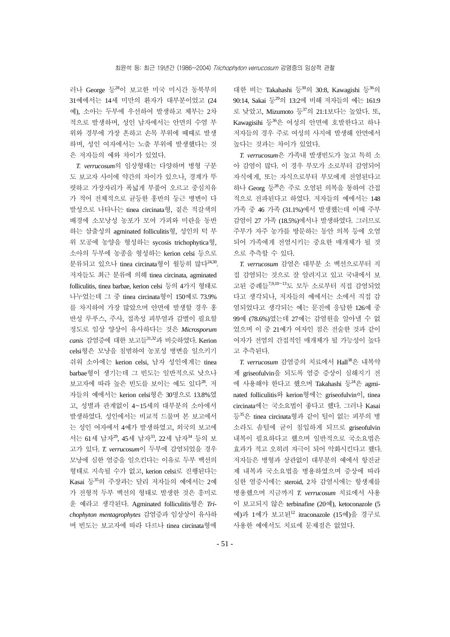러나 George 등<sup>28</sup>이 보고한 미국 미시간 동북부의 31예에서는 14세 미만의 환자가 대부분이었고 (24 예), 소아는 두부에 우선하여 발생하고 체부는 2차 적으로 발생하며, 성인 남자에서는 안면의 수염 부 위와 경부에 가장 흔하고 손목 부위에 때때로 발생 하며, 성인 여자에서는 노출 부위에 발생했다는 것 은 저자들의 예와 차이가 있었다.

*T. verrucosum*의 임상형태는 다양하며 병형 구분 도 보고자 사이에 약간의 차이가 있으나, 경계가 뚜 렷하고 가장자리가 폭넓게 부풀어 오르고 중심치유 가 적어 전체적으로 균등한 홍반의 둥근 병변이 다 발성으로 나타나는 tinea circinata형, 짙은 적갈색의 배경에 소모낭성 농포가 모여 가피와 미란을 동반 하는 삼출성의 agminated folliculitis형, 성인의 턱 부 위 모공에 농양을 형성하는 sycosis trichophytica형, 소아의 두부에 농종을 형성하는 kerion celsi 등으로 분류되고 있으나 tinea circinata형이 월등히 많다 $^{24,30}$ 저자들도 최근 분류에 의해 tinea circinata, agminated folliculitis, tinea barbae, kerion celsi 등의 4가지 형태로 나누었는데 그 중 tinea circinata형이 150예로 73.9% 를 차지하여 가장 많았으며 안면에 발생할 경우 홍 반성 루푸스, 주사, 접촉성 피부염과 감별이 필요할 정도로 임상 양상이 유사하다는 것은 *Microsporum canis* 감염증에 대한 보고들31,32과 비슷하였다. Kerion celsi형은 모낭을 침범하여 농포성 병변을 일으키기 쉬워 소아에는 kerion celsi, 남자 성인에게는 tinea barbae형이 생기는데 그 빈도는 일반적으로 낮으나 보고자에 따라 높은 빈도를 보이는 예도 있다<sup>28</sup>. 저 자들의 예에서는 kerion celsi형은 30명으로 13.8%였 고, 성별과 관계없이 4~15세의 대부분의 소아에서 발생하였다. 성인에서는 비교적 드물며 본 보고에서 는 성인 여자에서 4예가 발생하였고, 외국의 보고에 서는 61세 남자29, 45세 남자33, 22세 남자<sup>34</sup> 등의 보 고가 있다. *T. verrucosum*이 두부에 감염되었을 경우 모낭에 심한 염증을 일으킨다는 이유로 두부 백선의 형태로 지속될 수가 없고, kerion celsi로 진행된다는 Kasai 등35의 주장과는 달리 저자들의 예에서는 2예 가 전형적 두부 백선의 형태로 발생한 것은 흥미로 운 예라고 생각된다. Agminated folliculitis형은 *Trichophyton mentagrophytes* 감염증과 임상상이 유사하 며 빈도는 보고자에 따라 다르나 tinea circinata형에

대한 비는 Takahashi 등 $30:8$ , Kawagishi 등 $36$ 의 90:14, Sakai 등29의 13:2에 비해 저자들의 예는 161:9 로 낮았고, Mizumoto 등37의 21:1보다는 높았다. 또,  $Kawagisihi$  등 $36$ 은 여성의 안면에 호발한다고 하나 저자들의 경우 주로 여성의 사지에 발생해 안면에서 높다는 것과는 차이가 있었다.

*T. verrucosum*은 가족내 발생빈도가 높고 특히 소 아 감염이 많다. 이 경우 부모가 소로부터 감염되어 자식에게, 또는 자식으로부터 부모에게 전염된다고 하나 Georg 등28은 주로 오염된 의복을 통하여 간접 적으로 전파된다고 하였다. 저자들의 예에서는 148 가족 중 46 가족 (31.1%)에서 발생했는데 이때 주부 감염이 27 가족 (18.5%)에서나 발생하였다. 그러므로 주부가 자주 농가를 방문하는 동안 의복 등에 오염 되어 가족에게 전염시키는 중요한 매개체가 될 것 으로 추측할 수 있다.

*T. verrucosum* 감염은 대부분 소 백선으로부터 직 접 감염되는 것으로 잘 알려지고 있고 국내에서 보 고된 증례들7,9,10~<sup>13</sup>도 모두 소로부터 직접 감염되었 다고 생각되나, 저자들의 예에서는 소에서 직접 감 염되었다고 생각되는 예는 문진에 응답한 126예 중 99예 (78.6%)였는데 27예는 감염원을 알아낼 수 없 었으며 이 중 21예가 여자인 점은 전술한 것과 같이 여자가 전염의 간접적인 매개체가 될 가능성이 높다 고 추측된다.

*T. verrucosum* 감염증의 치료에서 Hall38은 내복약 제 griseofulvin을 되도록 염증 증상이 심해지기 전 에 사용해야 한다고 했으며 Takahashi 등<sup>24</sup>은 agminated folliculitis와 kerion형에는 griseofulvin이, tinea circinata에는 국소요법이 좋다고 했다. 그러나 Kasai 등35은 tinea circinata형과 같이 털이 없는 피부의 병 소라도 솜털에 균이 침입하게 되므로 griseofulvin 내복이 필요하다고 했으며 일반적으로 국소요법은 효과가 적고 오히려 자극이 되어 악화시킨다고 했다. 저자들은 병형과 상관없이 대부분의 예에서 항진균 제 내복과 국소요법을 병용하였으며 증상에 따라 심한 염증시에는 steroid, 2차 감염시에는 항생제를 병용했으며 지금까지 *T. verrucosum* 치료에서 사용 이 보고되지 않은 terbinafine (20예), ketoconazole (5 예)과 1예가 보고된12 itraconazole (15예)을 경구로 사용한 예에서도 치료에 문제점은 없었다.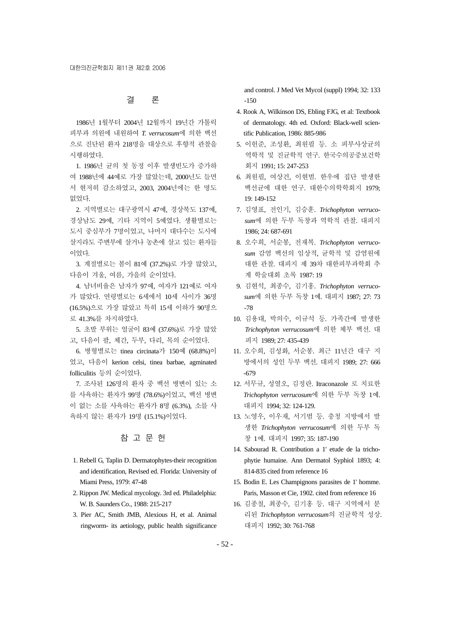# 결 론

1986년 1월부터 2004년 12월까지 19년간 가톨릭 피부과 의원에 내원하여 *T. verrucosum*에 의한 백선 으로 진단된 환자 218명을 대상으로 후향적 관찰을 시행하였다.

1. 1986년 균의 첫 동정 이후 발생빈도가 증가하 여 1988년에 44예로 가장 많았는데, 2000년도 들면 서 현저히 감소하였고, 2003, 2004년에는 한 명도 없었다.

2. 지역별로는 대구광역시 47예, 경상북도 137예, 경상남도 29예, 기타 지역이 5예였다. 생활별로는 도시 중심부가 7명이었고, 나머지 대다수는 도시에 살지라도 주변부에 살거나 농촌에 살고 있는 환자들 이었다.

3. 계절별로는 봄이 81예 (37.2%)로 가장 많았고, 다음이 겨울, 여름, 가을의 순이었다.

4. 남녀비율은 남자가 97예, 여자가 121예로 여자 가 많았다. 연령별로는 6세에서 10세 사이가 36명 (16.5%)으로 가장 많았고 특히 15세 이하가 90명으 로 41.3%를 차지하였다.

5. 초발 부위는 얼굴이 83예 (37.6%)로 가장 많았 고, 다음이 팔, 체간, 두부, 다리, 목의 순이었다.

6. 병형별로는 tinea circinata가 150예 (68.8%)이 었고, 다음이 kerion celsi, tinea barbae, agminated folliculitis 등의 순이었다.

7. 조사된 126명의 환자 중 백선 병변이 있는 소 를 사육하는 환자가 99명 (78.6%)이었고, 백선 병변 이 없는 소를 사육하는 환자가 8명 (6.3%), 소를 사 육하지 않는 환자가 19명 (15.1%)이었다.

# 참 고 문 헌

- 1. Rebell G, Taplin D. Dermatophytes-their recognition and identification, Revised ed. Florida: University of Miami Press, 1979: 47-48
- 2. Rippon JW. Medical mycology. 3rd ed. Philadelphia: W. B. Saunders Co., 1988: 215-217
- 3. Pier AC, Smith JMB, Alexious H, et al. Animal ringworm- its aetiology, public health significance

and control. J Med Vet Mycol (suppl) 1994; 32: 133  $-150$ 

- 4. Rook A, Wilkinson DS, Ebling FJG, et al: Textbook of dermatology. 4th ed. Oxford: Black-well scientific Publication, 1986: 885-986
- 5. 이헌준, 조성환, 최원필 등. 소 피부사상균의 역학적 및 진균학적 연구. 한국수의공중보건학 회지 1991; 15: 247-253
- 6. 최원필, 여상건, 이현범. 한우에 집단 발생한 백선균에 대한 연구. 대한수의학학회지 1979; 19: 149-152
- 7. 김영표, 전인기, 김승훈. *Trichophyton verrucosum*에 의한 두부 독창과 역학적 관찰. 대피지 1986; 24: 687-691
- 8. 오수희, 서순봉, 전재복. *Trichophyton verrucosum* 감염 백선의 임상적, 균학적 및 감염원에 대한 관찰. 대피지 제 39차 대한피부과학회 추 계 학술대회 초록 1987: 19
- 9. 김현석, 최종수, 김기홍. *Trichophyton verrucosum*에 의한 두부 독창 1예. 대피지 1987; 27: 73 -78
- 10. 김용대, 박의수, 이규석 등. 가족간에 발생한 *Trichophyton verrucosum*에 의한 체부 백선. 대 피지 1989; 27: 435-439
- 11. 오수희, 김성화, 서순봉. 최근 11년간 대구 지 방에서의 성인 두부 백선. 대피지 1989; 27: 666 -679
- 12. 서무규, 성열오, 김정란. Itraconazole 로 치료한 *Trichophyton verrucosum*에 의한 두부 독창 1예. 대피지 1994; 32: 124-129.
- 13. 노영우, 이우재, 서기범 등. 충청 지방에서 발 생한 *Trichophyton verrucosum*에 의한 두부 독 창 1예. 대피지 1997; 35: 187-190
- 14. Sabourad R. Contribution a 1' etude de la trichophytie humaine. Ann Dermatol Syphiol 1893; 4: 814-835 cited from reference 16
- 15. Bodin E. Les Champignons parasites de 1' homme. Paris, Masson et Cie, 1902. cited from reference 16
- 16. 김종철, 최종수, 김기홍 등. 대구 지역에서 분 리된 *Trichophyton verrucosum*의 진균학적 성상. 대피지 1992; 30: 761-768